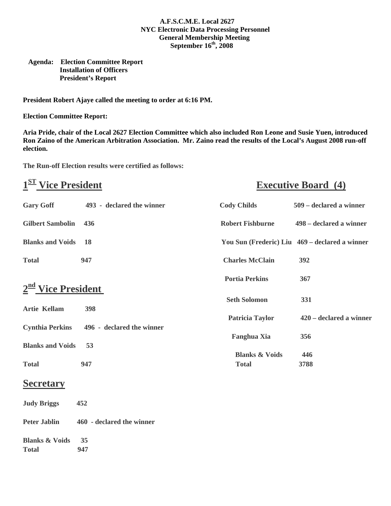### **A.F.S.C.M.E. Local 2627 NYC Electronic Data Processing Personnel General Membership Meeting September 16th, 2008**

### **Agenda: Election Committee Report Installation of Officers President's Report**

**President Robert Ajaye called the meeting to order at 6:16 PM.** 

**Election Committee Report:** 

**Aria Pride, chair of the Local 2627 Election Committee which also included Ron Leone and Susie Yuen, introduced Ron Zaino of the American Arbitration Association. Mr. Zaino read the results of the Local's August 2008 run-off election.** 

**The Run-off Election results were certified as follows:** 

# **1ST** Vice President Executive Board (4)

| <b>Gary Goff</b>        | 493 - declared the winner | <b>Cody Childs</b>        | 509 – declared a winner                        |
|-------------------------|---------------------------|---------------------------|------------------------------------------------|
| <b>Gilbert Sambolin</b> | 436                       | <b>Robert Fishburne</b>   | 498 – declared a winner                        |
| <b>Blanks and Voids</b> | <b>18</b>                 |                           | You Sun (Frederic) Liu 469 – declared a winner |
| <b>Total</b>            | 947                       | <b>Charles McClain</b>    | 392                                            |
|                         |                           | <b>Portia Perkins</b>     | 367                                            |
| $2nd$ Vice President    |                           | <b>Seth Solomon</b>       | 331                                            |
| <b>Artie Kellam</b>     | 398                       | <b>Patricia Taylor</b>    | $420 - declared$ a winner                      |
| <b>Cynthia Perkins</b>  | 496 - declared the winner |                           |                                                |
| <b>Blanks and Voids</b> | 53                        | <b>Fanghua Xia</b>        | 356                                            |
|                         |                           | <b>Blanks &amp; Voids</b> | 446                                            |
| <b>Total</b>            | 947                       | <b>Total</b>              | 3788                                           |
| <b>Secretary</b>        |                           |                           |                                                |
| <b>Judy Briggs</b>      | 452                       |                           |                                                |

**Peter Jablin 460 - declared the winner** 

**Blanks & Voids 35 Total 947**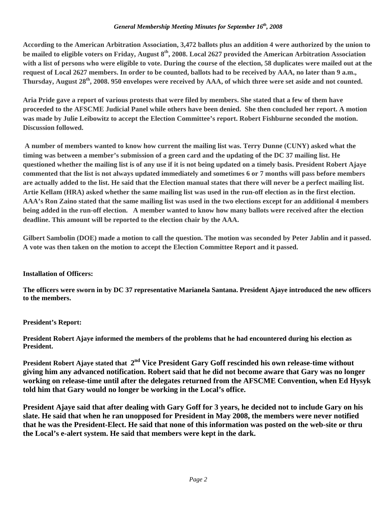### *General Membership Meeting Minutes for September 16th, 2008*

**According to the American Arbitration Association, 3,472 ballots plus an addition 4 were authorized by the union to be mailed to eligible voters on Friday, August 8th, 2008. Local 2627 provided the American Arbitration Association with a list of persons who were eligible to vote. During the course of the election, 58 duplicates were mailed out at the request of Local 2627 members. In order to be counted, ballots had to be received by AAA, no later than 9 a.m., Thursday, August 28th, 2008. 950 envelopes were received by AAA, of which three were set aside and not counted.** 

**Aria Pride gave a report of various protests that were filed by members. She stated that a few of them have proceeded to the AFSCME Judicial Panel while others have been denied. She then concluded her report. A motion was made by Julie Leibowitz to accept the Election Committee's report. Robert Fishburne seconded the motion. Discussion followed.** 

 **A number of members wanted to know how current the mailing list was. Terry Dunne (CUNY) asked what the timing was between a member's submission of a green card and the updating of the DC 37 mailing list. He questioned whether the mailing list is of any use if it is not being updated on a timely basis. President Robert Ajaye commented that the list is not always updated immediately and sometimes 6 or 7 months will pass before members are actually added to the list. He said that the Election manual states that there will never be a perfect mailing list. Artie Kellam (HRA) asked whether the same mailing list was used in the run-off election as in the first election. AAA's Ron Zaino stated that the same mailing list was used in the two elections except for an additional 4 members being added in the run-off election. A member wanted to know how many ballots were received after the election deadline. This amount will be reported to the election chair by the AAA.** 

**Gilbert Sambolin (DOE) made a motion to call the question. The motion was seconded by Peter Jablin and it passed. A vote was then taken on the motion to accept the Election Committee Report and it passed.** 

# **Installation of Officers:**

**The officers were sworn in by DC 37 representative Marianela Santana. President Ajaye introduced the new officers to the members.** 

# **President's Report:**

**President Robert Ajaye informed the members of the problems that he had encountered during his election as President.** 

President Robert Ajaye stated that 2<sup>nd</sup> Vice President Gary Goff rescinded his own release-time without **giving him any advanced notification. Robert said that he did not become aware that Gary was no longer working on release-time until after the delegates returned from the AFSCME Convention, when Ed Hysyk told him that Gary would no longer be working in the Local's office.** 

**President Ajaye said that after dealing with Gary Goff for 3 years, he decided not to include Gary on his slate. He said that when he ran unopposed for President in May 2008, the members were never notified that he was the President-Elect. He said that none of this information was posted on the web-site or thru the Local's e-alert system. He said that members were kept in the dark.**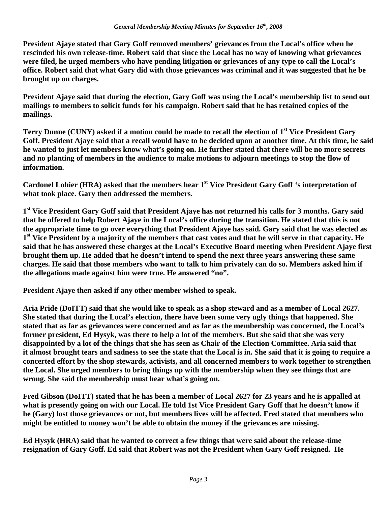**President Ajaye stated that Gary Goff removed members' grievances from the Local's office when he rescinded his own release-time. Robert said that since the Local has no way of knowing what grievances were filed, he urged members who have pending litigation or grievances of any type to call the Local's office. Robert said that what Gary did with those grievances was criminal and it was suggested that he be brought up on charges.** 

**President Ajaye said that during the election, Gary Goff was using the Local's membership list to send out mailings to members to solicit funds for his campaign. Robert said that he has retained copies of the mailings.** 

Terry Dunne (CUNY) asked if a motion could be made to recall the election of 1<sup>st</sup> Vice President Gary **Goff. President Ajaye said that a recall would have to be decided upon at another time. At this time, he said he wanted to just let members know what's going on. He further stated that there will be no more secrets and no planting of members in the audience to make motions to adjourn meetings to stop the flow of information.** 

Cardonel Lohier (HRA) asked that the members hear 1<sup>st</sup> Vice President Gary Goff 's interpretation of **what took place. Gary then addressed the members.** 

**1st Vice President Gary Goff said that President Ajaye has not returned his calls for 3 months. Gary said that he offered to help Robert Ajaye in the Local's office during the transition. He stated that this is not the appropriate time to go over everything that President Ajaye has said. Gary said that he was elected as 1st Vice President by a majority of the members that cast votes and that he will serve in that capacity. He said that he has answered these charges at the Local's Executive Board meeting when President Ajaye first brought them up. He added that he doesn't intend to spend the next three years answering these same charges. He said that those members who want to talk to him privately can do so. Members asked him if the allegations made against him were true. He answered "no".** 

**President Ajaye then asked if any other member wished to speak.** 

**Aria Pride (DoITT) said that she would like to speak as a shop steward and as a member of Local 2627. She stated that during the Local's election, there have been some very ugly things that happened. She stated that as far as grievances were concerned and as far as the membership was concerned, the Local's former president, Ed Hysyk, was there to help a lot of the members. But she said that she was very disappointed by a lot of the things that she has seen as Chair of the Election Committee. Aria said that it almost brought tears and sadness to see the state that the Local is in. She said that it is going to require a concerted effort by the shop stewards, activists, and all concerned members to work together to strengthen the Local. She urged members to bring things up with the membership when they see things that are wrong. She said the membership must hear what's going on.** 

**Fred Gibson (DoITT) stated that he has been a member of Local 2627 for 23 years and he is appalled at what is presently going on with our Local. He told 1st Vice President Gary Goff that he doesn't know if he (Gary) lost those grievances or not, but members lives will be affected. Fred stated that members who might be entitled to money won't be able to obtain the money if the grievances are missing.** 

**Ed Hysyk (HRA) said that he wanted to correct a few things that were said about the release-time resignation of Gary Goff. Ed said that Robert was not the President when Gary Goff resigned. He**